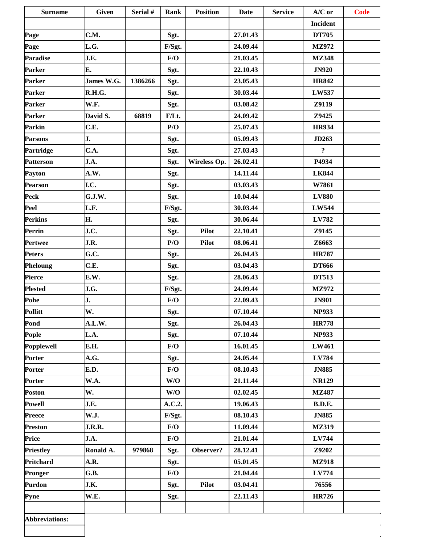| <b>Surname</b>        | <b>Given</b> | Serial # | Rank     | <b>Position</b> | <b>Date</b> | <b>Service</b> | $A/C$ or            | <b>Code</b> |
|-----------------------|--------------|----------|----------|-----------------|-------------|----------------|---------------------|-------------|
|                       |              |          |          |                 |             |                | Incident            |             |
| Page                  | C.M.         |          | Sgt.     |                 | 27.01.43    |                | <b>DT705</b>        |             |
| Page                  | L.G.         |          | F/Sgt.   |                 | 24.09.44    |                | MZ972               |             |
| <b>Paradise</b>       | J.E.         |          | F/O      |                 | 21.03.45    |                | <b>MZ348</b>        |             |
| Parker                | E.           |          | Sgt.     |                 | 22.10.43    |                | <b>JN920</b>        |             |
| Parker                | James W.G.   | 1386266  | Sgt.     |                 | 23.05.43    |                | <b>HR842</b>        |             |
| Parker                | R.H.G.       |          | Sgt.     |                 | 30.03.44    |                | LW537               |             |
| Parker                | W.F.         |          | Sgt.     |                 | 03.08.42    |                | Z9119               |             |
| Parker                | David S.     | 68819    | $F/Lt$ . |                 | 24.09.42    |                | Z9425               |             |
| Parkin                | C.E.         |          | P/O      |                 | 25.07.43    |                | <b>HR934</b>        |             |
| <b>Parsons</b>        | J.           |          | Sgt.     |                 | 05.09.43    |                | JD263               |             |
| Partridge             | C.A.         |          | Sgt.     |                 | 27.03.43    |                | $\ddot{\mathbf{?}}$ |             |
| <b>Patterson</b>      | J.A.         |          | Sgt.     | Wireless Op.    | 26.02.41    |                | P4934               |             |
| Payton                | A.W.         |          | Sgt.     |                 | 14.11.44    |                | <b>LK844</b>        |             |
| Pearson               | I.C.         |          | Sgt.     |                 | 03.03.43    |                | W7861               |             |
| Peck                  | G.J.W.       |          | Sgt.     |                 | 10.04.44    |                | <b>LV880</b>        |             |
| Peel                  | L.F.         |          | F/Sgt.   |                 | 30.03.44    |                | <b>LW544</b>        |             |
| <b>Perkins</b>        | Н.           |          | Sgt.     |                 | 30.06.44    |                | LV782               |             |
| Perrin                | J.C.         |          | Sgt.     | <b>Pilot</b>    | 22.10.41    |                | Z9145               |             |
| Pertwee               | J.R.         |          | P/O      | <b>Pilot</b>    | 08.06.41    |                | Z6663               |             |
| <b>Peters</b>         | G.C.         |          | Sgt.     |                 | 26.04.43    |                | <b>HR787</b>        |             |
| <b>Pheloung</b>       | C.E.         |          | Sgt.     |                 | 03.04.43    |                | <b>DT666</b>        |             |
| Pierce                | E.W.         |          | Sgt.     |                 | 28.06.43    |                | <b>DT513</b>        |             |
| <b>Plested</b>        | J.G.         |          | F/Sgt.   |                 | 24.09.44    |                | <b>MZ972</b>        |             |
| Pohe                  | J.           |          | F/O      |                 | 22.09.43    |                | <b>JN901</b>        |             |
| Pollitt               | W.           |          | Sgt.     |                 | 07.10.44    |                | <b>NP933</b>        |             |
| Pond                  | A.L.W.       |          | Sgt.     |                 | 26.04.43    |                | <b>HR778</b>        |             |
| Pople                 | L.A.         |          | Sgt.     |                 | 07.10.44    |                | <b>NP933</b>        |             |
| Popplewell            | E.H.         |          | F/O      |                 | 16.01.45    |                | LW461               |             |
| Porter                | A.G.         |          | Sgt.     |                 | 24.05.44    |                | LV784               |             |
| <b>Porter</b>         | E.D.         |          | F/O      |                 | 08.10.43    |                | <b>JN885</b>        |             |
| Porter                | W.A.         |          | W/O      |                 | 21.11.44    |                | <b>NR129</b>        |             |
| <b>Poston</b>         | W.           |          | W/O      |                 | 02.02.45    |                | <b>MZ487</b>        |             |
| <b>Powell</b>         | J.E.         |          | A.C.2.   |                 | 19.06.43    |                | B.D.E.              |             |
| <b>Preece</b>         | <b>W.J.</b>  |          | F/Sgt.   |                 | 08.10.43    |                | <b>JN885</b>        |             |
| <b>Preston</b>        | J.R.R.       |          | F/O      |                 | 11.09.44    |                | <b>MZ319</b>        |             |
| Price                 | J.A.         |          | F/O      |                 | 21.01.44    |                | LV744               |             |
| <b>Priestley</b>      | Ronald A.    | 979868   | Sgt.     | Observer?       | 28.12.41    |                | Z9202               |             |
| Pritchard             | A.R.         |          | Sgt.     |                 | 05.01.45    |                | <b>MZ918</b>        |             |
| Pronger               | G.B.         |          | F/O      |                 | 21.04.44    |                | LV774               |             |
| <b>Purdon</b>         | J.K.         |          | Sgt.     | <b>Pilot</b>    | 03.04.41    |                | 76556               |             |
| Pyne                  | W.E.         |          | Sgt.     |                 | 22.11.43    |                | <b>HR726</b>        |             |
|                       |              |          |          |                 |             |                |                     |             |
| <b>Abbreviations:</b> |              |          |          |                 |             |                |                     |             |